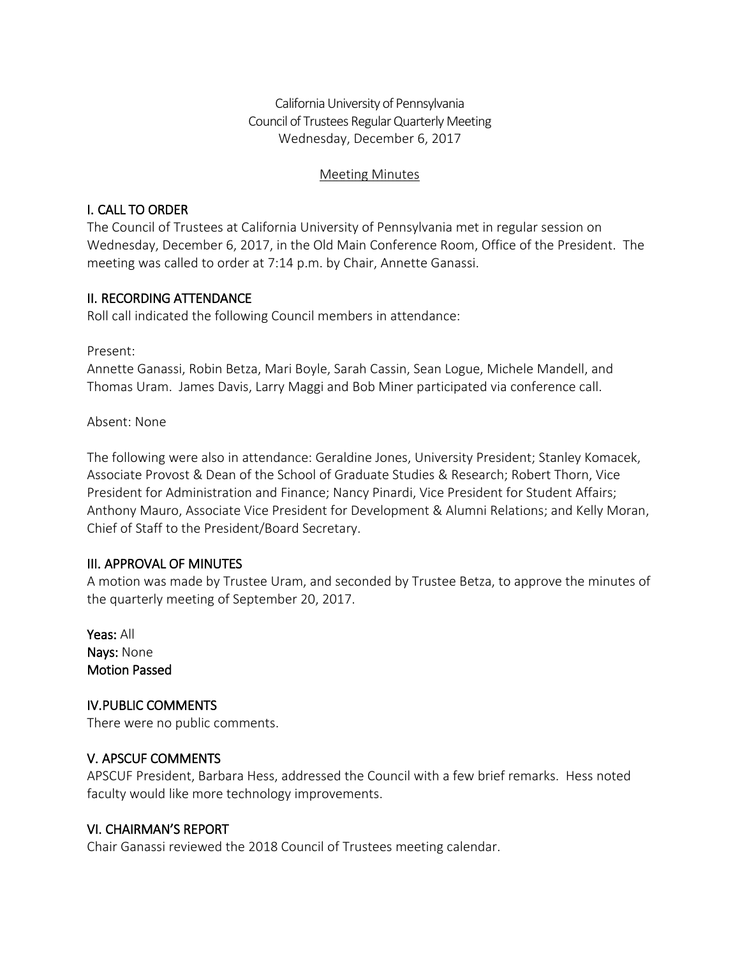California University of Pennsylvania Council of Trustees Regular Quarterly Meeting Wednesday, December 6, 2017

#### Meeting Minutes

### I. CALL TO ORDER

The Council of Trustees at California University of Pennsylvania met in regular session on Wednesday, December 6, 2017, in the Old Main Conference Room, Office of the President. The meeting was called to order at 7:14 p.m. by Chair, Annette Ganassi.

#### II. RECORDING ATTENDANCE

Roll call indicated the following Council members in attendance:

Present:

Annette Ganassi, Robin Betza, Mari Boyle, Sarah Cassin, Sean Logue, Michele Mandell, and Thomas Uram. James Davis, Larry Maggi and Bob Miner participated via conference call.

Absent: None

The following were also in attendance: Geraldine Jones, University President; Stanley Komacek, Associate Provost & Dean of the School of Graduate Studies & Research; Robert Thorn, Vice President for Administration and Finance; Nancy Pinardi, Vice President for Student Affairs; Anthony Mauro, Associate Vice President for Development & Alumni Relations; and Kelly Moran, Chief of Staff to the President/Board Secretary.

#### III. APPROVAL OF MINUTES

A motion was made by Trustee Uram, and seconded by Trustee Betza, to approve the minutes of the quarterly meeting of September 20, 2017.

Yeas: All Nays: None Motion Passed

IV.PUBLIC COMMENTS There were no public comments.

#### V. APSCUF COMMENTS

APSCUF President, Barbara Hess, addressed the Council with a few brief remarks. Hess noted faculty would like more technology improvements.

#### VI. CHAIRMAN'S REPORT

Chair Ganassi reviewed the 2018 Council of Trustees meeting calendar.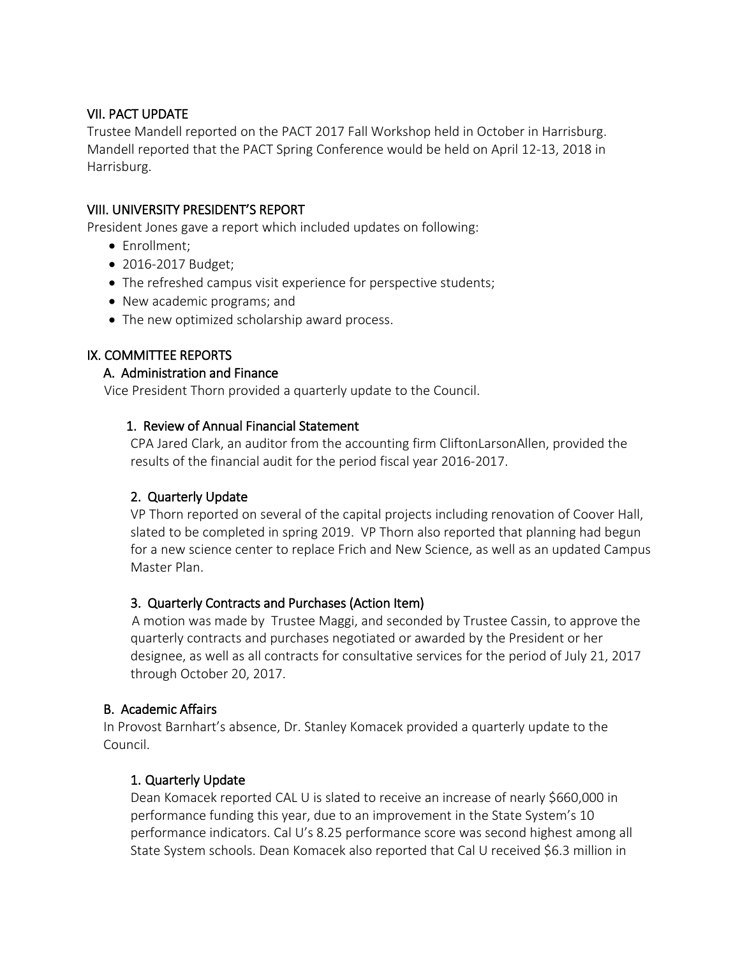#### VII. PACT UPDATE

Trustee Mandell reported on the PACT 2017 Fall Workshop held in October in Harrisburg. Mandell reported that the PACT Spring Conference would be held on April 12-13, 2018 in Harrisburg.

### VIII. UNIVERSITY PRESIDENT'S REPORT

President Jones gave a report which included updates on following:

- Enrollment;
- 2016-2017 Budget;
- The refreshed campus visit experience for perspective students;
- New academic programs; and
- The new optimized scholarship award process.

# IX. COMMITTEE REPORTS

#### A. Administration and Finance

Vice President Thorn provided a quarterly update to the Council.

## 1. Review of Annual Financial Statement

CPA Jared Clark, an auditor from the accounting firm CliftonLarsonAllen, provided the results of the financial audit for the period fiscal year 2016-2017.

# 2. Quarterly Update

VP Thorn reported on several of the capital projects including renovation of Coover Hall, slated to be completed in spring 2019. VP Thorn also reported that planning had begun for a new science center to replace Frich and New Science, as well as an updated Campus Master Plan.

#### 3. Quarterly Contracts and Purchases (Action Item)

 A motion was made by Trustee Maggi, and seconded by Trustee Cassin, to approve the quarterly contracts and purchases negotiated or awarded by the President or her designee, as well as all contracts for consultative services for the period of July 21, 2017 through October 20, 2017.

#### B. Academic Affairs

In Provost Barnhart's absence, Dr. Stanley Komacek provided a quarterly update to the Council.

# 1. Quarterly Update

Dean Komacek reported CAL U is slated to receive an increase of nearly \$660,000 in performance funding this year, due to an improvement in the State System's 10 performance indicators. Cal U's 8.25 performance score was second highest among all State System schools. Dean Komacek also reported that Cal U received \$6.3 million in